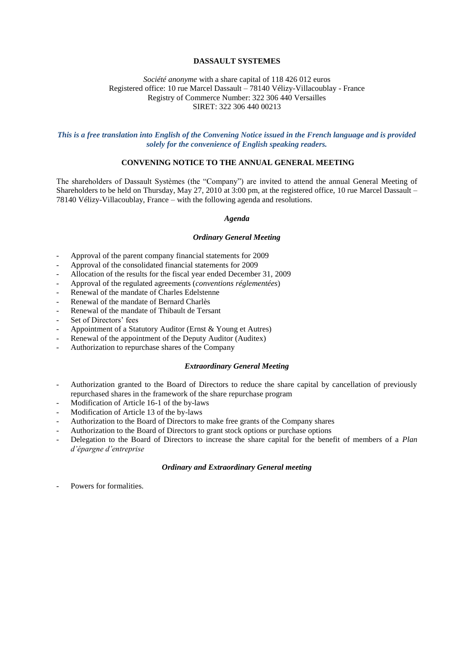## **DASSAULT SYSTEMES**

# *Société anonyme* with a share capital of 118 426 012 euros Registered office: 10 rue Marcel Dassault – 78140 Vélizy-Villacoublay - France Registry of Commerce Number: 322 306 440 Versailles SIRET: 322 306 440 00213

# *This is a free translation into English of the Convening Notice issued in the French language and is provided solely for the convenience of English speaking readers.*

# **CONVENING NOTICE TO THE ANNUAL GENERAL MEETING**

The shareholders of Dassault Systèmes (the "Company") are invited to attend the annual General Meeting of Shareholders to be held on Thursday, May 27, 2010 at 3:00 pm, at the registered office, 10 rue Marcel Dassault – 78140 Vélizy-Villacoublay, France – with the following agenda and resolutions.

#### *Agenda*

## *Ordinary General Meeting*

- Approval of the parent company financial statements for 2009
- Approval of the consolidated financial statements for 2009
- Allocation of the results for the fiscal year ended December 31, 2009
- Approval of the regulated agreements (*conventions réglementées*)
- Renewal of the mandate of Charles Edelstenne
- Renewal of the mandate of Bernard Charlès
- Renewal of the mandate of Thibault de Tersant
- Set of Directors' fees
- Appointment of a Statutory Auditor (Ernst & Young et Autres)
- Renewal of the appointment of the Deputy Auditor (Auditex)
- Authorization to repurchase shares of the Company

#### *Extraordinary General Meeting*

- Authorization granted to the Board of Directors to reduce the share capital by cancellation of previously repurchased shares in the framework of the share repurchase program
- Modification of Article 16-1 of the by-laws
- Modification of Article 13 of the by-laws
- Authorization to the Board of Directors to make free grants of the Company shares
- Authorization to the Board of Directors to grant stock options or purchase options
- Delegation to the Board of Directors to increase the share capital for the benefit of members of a *Plan d'épargne d'entreprise*

### *Ordinary and Extraordinary General meeting*

Powers for formalities.